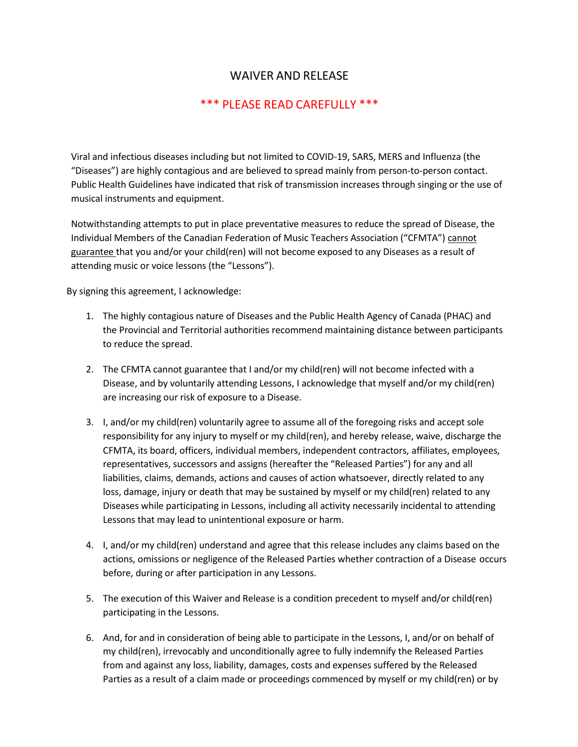## WAIVER AND RELEASE

## \*\*\* PLEASE READ CAREFULLY \*\*\*

Viral and infectious diseases including but not limited to COVID-19, SARS, MERS and Influenza (the "Diseases") are highly contagious and are believed to spread mainly from person-to-person contact. Public Health Guidelines have indicated that risk of transmission increases through singing or the use of musical instruments and equipment.

Notwithstanding attempts to put in place preventative measures to reduce the spread of Disease, the Individual Members of the Canadian Federation of Music Teachers Association ("CFMTA") cannot guarantee that you and/or your child(ren) will not become exposed to any Diseases as a result of attending music or voice lessons (the "Lessons").

By signing this agreement, I acknowledge:

- 1. The highly contagious nature of Diseases and the Public Health Agency of Canada (PHAC) and the Provincial and Territorial authorities recommend maintaining distance between participants to reduce the spread.
- 2. The CFMTA cannot guarantee that I and/or my child(ren) will not become infected with a Disease, and by voluntarily attending Lessons, I acknowledge that myself and/or my child(ren) are increasing our risk of exposure to a Disease.
- 3. I, and/or my child(ren) voluntarily agree to assume all of the foregoing risks and accept sole responsibility for any injury to myself or my child(ren), and hereby release, waive, discharge the CFMTA, its board, officers, individual members, independent contractors, affiliates, employees, representatives, successors and assigns (hereafter the "Released Parties") for any and all liabilities, claims, demands, actions and causes of action whatsoever, directly related to any loss, damage, injury or death that may be sustained by myself or my child(ren) related to any Diseases while participating in Lessons, including all activity necessarily incidental to attending Lessons that may lead to unintentional exposure or harm.
- 4. I, and/or my child(ren) understand and agree that this release includes any claims based on the actions, omissions or negligence of the Released Parties whether contraction of a Disease occurs before, during or after participation in any Lessons.
- 5. The execution of this Waiver and Release is a condition precedent to myself and/or child(ren) participating in the Lessons.
- 6. And, for and in consideration of being able to participate in the Lessons, I, and/or on behalf of my child(ren), irrevocably and unconditionally agree to fully indemnify the Released Parties from and against any loss, liability, damages, costs and expenses suffered by the Released Parties as a result of a claim made or proceedings commenced by myself or my child(ren) or by